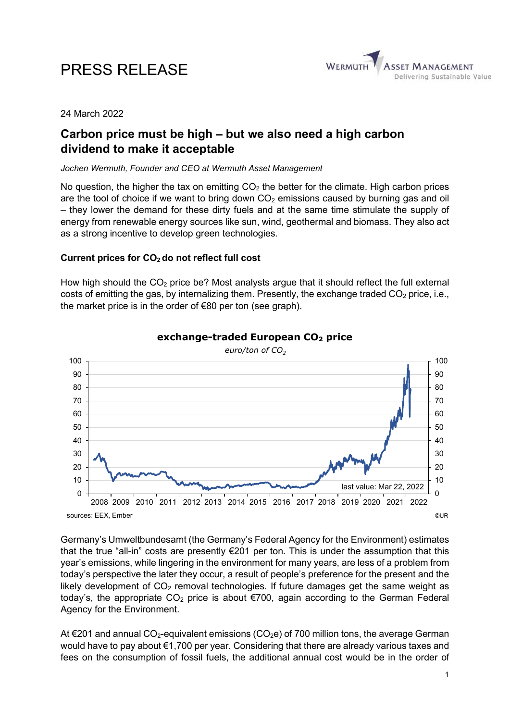# PRESS RELEASE



## 24 March 2022

## Carbon price must be high – but we also need a high carbon dividend to make it acceptable

### Jochen Wermuth, Founder and CEO at Wermuth Asset Management

No question, the higher the tax on emitting  $CO<sub>2</sub>$  the better for the climate. High carbon prices are the tool of choice if we want to bring down  $CO<sub>2</sub>$  emissions caused by burning gas and oil – they lower the demand for these dirty fuels and at the same time stimulate the supply of energy from renewable energy sources like sun, wind, geothermal and biomass. They also act as a strong incentive to develop green technologies.

## Current prices for  $CO<sub>2</sub>$  do not reflect full cost

How high should the  $CO<sub>2</sub>$  price be? Most analysts argue that it should reflect the full external costs of emitting the gas, by internalizing them. Presently, the exchange traded  $CO<sub>2</sub>$  price, i.e., the market price is in the order of €80 per ton (see graph).



exchange-traded European CO<sub>2</sub> price

Germany's Umweltbundesamt (the Germany's Federal Agency for the Environment) estimates that the true "all-in" costs are presently €201 per ton. This is under the assumption that this year's emissions, while lingering in the environment for many years, are less of a problem from today's perspective the later they occur, a result of people's preference for the present and the likely development of  $CO<sub>2</sub>$  removal technologies. If future damages get the same weight as today's, the appropriate  $CO<sub>2</sub>$  price is about  $\epsilon$ 700, again according to the German Federal Agency for the Environment.

At €201 and annual CO<sub>2</sub>-equivalent emissions (CO<sub>2</sub>e) of 700 million tons, the average German would have to pay about €1,700 per year. Considering that there are already various taxes and fees on the consumption of fossil fuels, the additional annual cost would be in the order of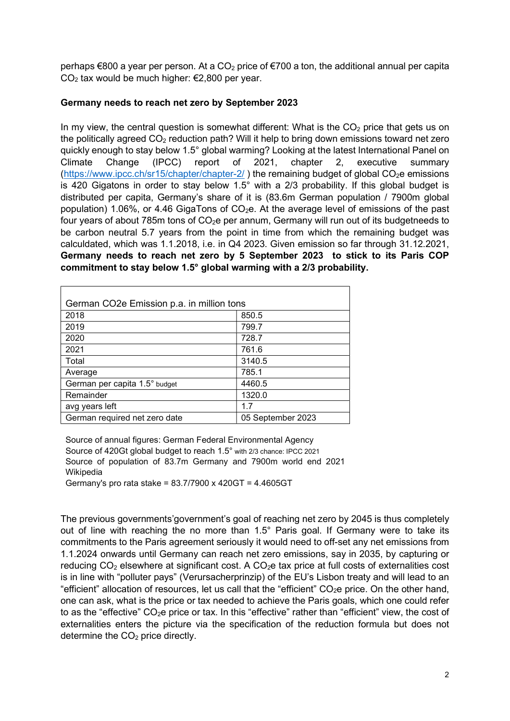perhaps  $\epsilon$ 800 a year per person. At a CO<sub>2</sub> price of  $\epsilon$ 700 a ton, the additional annual per capita  $CO<sub>2</sub>$  tax would be much higher:  $\epsilon$ 2,800 per year.

## Germany needs to reach net zero by September 2023

In my view, the central question is somewhat different: What is the  $CO<sub>2</sub>$  price that gets us on the politically agreed  $CO<sub>2</sub>$  reduction path? Will it help to bring down emissions toward net zero quickly enough to stay below 1.5° global warming? Looking at the latest International Panel on Climate Change (IPCC) report of 2021, chapter 2, executive summary (https://www.ipcc.ch/sr15/chapter/chapter-2/) the remaining budget of global  $CO<sub>2</sub>e$  emissions is 420 Gigatons in order to stay below 1.5 $^{\circ}$  with a 2/3 probability. If this global budget is distributed per capita, Germany's share of it is (83.6m German population / 7900m global population) 1.06%, or 4.46 GigaTons of  $CO<sub>2</sub>e$ . At the average level of emissions of the past four years of about 785m tons of CO<sub>2</sub>e per annum, Germany will run out of its budgetneeds to be carbon neutral 5.7 years from the point in time from which the remaining budget was calculdated, which was 1.1.2018, i.e. in Q4 2023. Given emission so far through 31.12.2021, Germany needs to reach net zero by 5 September 2023 to stick to its Paris COP commitment to stay below 1.5° global warming with a 2/3 probability.

| German CO2e Emission p.a. in million tons |                   |
|-------------------------------------------|-------------------|
| 2018                                      | 850.5             |
| 2019                                      | 799.7             |
| 2020                                      | 728.7             |
| 2021                                      | 761.6             |
| Total                                     | 3140.5            |
| Average                                   | 785.1             |
| German per capita 1.5° budget             | 4460.5            |
| Remainder                                 | 1320.0            |
| avg years left                            | 1.7               |
| German required net zero date             | 05 September 2023 |

Source of annual figures: German Federal Environmental Agency Source of 420Gt global budget to reach 1.5° with 2/3 chance: IPCC 2021 Source of population of 83.7m Germany and 7900m world end 2021 Wikipedia Germany's pro rata stake = 83.7/7900 x 420GT = 4.4605GT

The previous governments'government's goal of reaching net zero by 2045 is thus completely out of line with reaching the no more than 1.5° Paris goal. If Germany were to take its commitments to the Paris agreement seriously it would need to off-set any net emissions from 1.1.2024 onwards until Germany can reach net zero emissions, say in 2035, by capturing or reducing  $CO<sub>2</sub>$  elsewhere at significant cost. A  $CO<sub>2</sub>e$  tax price at full costs of externalities cost is in line with "polluter pays" (Verursacherprinzip) of the EU's Lisbon treaty and will lead to an "efficient" allocation of resources, let us call that the "efficient" CO<sub>2</sub>e price. On the other hand, one can ask, what is the price or tax needed to achieve the Paris goals, which one could refer to as the "effective" CO<sub>2</sub>e price or tax. In this "effective" rather than "efficient" view, the cost of externalities enters the picture via the specification of the reduction formula but does not determine the  $CO<sub>2</sub>$  price directly.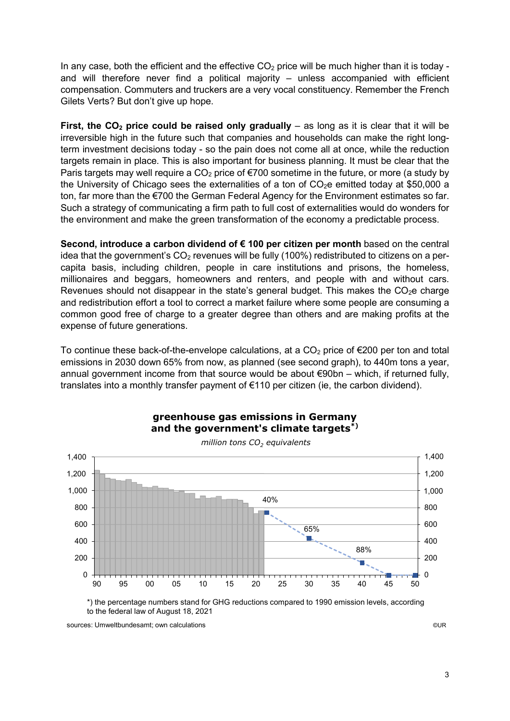In any case, both the efficient and the effective  $CO<sub>2</sub>$  price will be much higher than it is today and will therefore never find a political majority – unless accompanied with efficient compensation. Commuters and truckers are a very vocal constituency. Remember the French Gilets Verts? But don't give up hope.

First, the  $CO<sub>2</sub>$  price could be raised only gradually – as long as it is clear that it will be irreversible high in the future such that companies and households can make the right longterm investment decisions today - so the pain does not come all at once, while the reduction targets remain in place. This is also important for business planning. It must be clear that the Paris targets may well require a  $CO<sub>2</sub>$  price of  $\epsilon$ 700 sometime in the future, or more (a study by the University of Chicago sees the externalities of a ton of  $CO<sub>2</sub>e$  emitted today at \$50,000 a ton, far more than the €700 the German Federal Agency for the Environment estimates so far. Such a strategy of communicating a firm path to full cost of externalities would do wonders for the environment and make the green transformation of the economy a predictable process.

Second, introduce a carbon dividend of  $\epsilon$  100 per citizen per month based on the central idea that the government's  $CO<sub>2</sub>$  revenues will be fully (100%) redistributed to citizens on a percapita basis, including children, people in care institutions and prisons, the homeless, millionaires and beggars, homeowners and renters, and people with and without cars. Revenues should not disappear in the state's general budget. This makes the  $CO<sub>2</sub>e$  charge and redistribution effort a tool to correct a market failure where some people are consuming a common good free of charge to a greater degree than others and are making profits at the expense of future generations.

To continue these back-of-the-envelope calculations, at a  $CO<sub>2</sub>$  price of  $\epsilon$ 200 per ton and total emissions in 2030 down 65% from now, as planned (see second graph), to 440m tons a year, annual government income from that source would be about €90bn – which, if returned fully, translates into a monthly transfer payment of €110 per citizen (ie, the carbon dividend).



greenhouse gas emissions in Germany and the government's climate targets<sup>\*)</sup>

\*) the percentage numbers stand for GHG reductions compared to 1990 emission levels, according to the federal law of August 18, 2021

sources: Umweltbundesamt; own calculations ©UR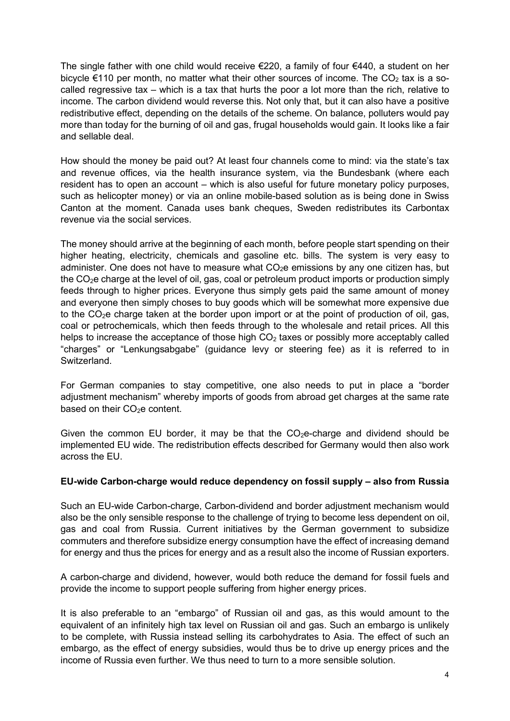The single father with one child would receive €220, a family of four €440, a student on her bicycle  $\epsilon$ 110 per month, no matter what their other sources of income. The CO<sub>2</sub> tax is a socalled regressive tax – which is a tax that hurts the poor a lot more than the rich, relative to income. The carbon dividend would reverse this. Not only that, but it can also have a positive redistributive effect, depending on the details of the scheme. On balance, polluters would pay more than today for the burning of oil and gas, frugal households would gain. It looks like a fair and sellable deal.

How should the money be paid out? At least four channels come to mind: via the state's tax and revenue offices, via the health insurance system, via the Bundesbank (where each resident has to open an account – which is also useful for future monetary policy purposes, such as helicopter money) or via an online mobile-based solution as is being done in Swiss Canton at the moment. Canada uses bank cheques, Sweden redistributes its Carbontax revenue via the social services.

The money should arrive at the beginning of each month, before people start spending on their higher heating, electricity, chemicals and gasoline etc. bills. The system is very easy to administer. One does not have to measure what  $CO<sub>2</sub>e$  emissions by any one citizen has, but the CO2e charge at the level of oil, gas, coal or petroleum product imports or production simply feeds through to higher prices. Everyone thus simply gets paid the same amount of money and everyone then simply choses to buy goods which will be somewhat more expensive due to the  $CO<sub>2</sub>e$  charge taken at the border upon import or at the point of production of oil, gas, coal or petrochemicals, which then feeds through to the wholesale and retail prices. All this helps to increase the acceptance of those high  $CO<sub>2</sub>$  taxes or possibly more acceptably called "charges" or "Lenkungsabgabe" (guidance levy or steering fee) as it is referred to in Switzerland.

For German companies to stay competitive, one also needs to put in place a "border adjustment mechanism" whereby imports of goods from abroad get charges at the same rate based on their CO<sub>2</sub>e content.

Given the common EU border, it may be that the  $CO<sub>2</sub>e$ -charge and dividend should be implemented EU wide. The redistribution effects described for Germany would then also work across the EU.

## EU-wide Carbon-charge would reduce dependency on fossil supply – also from Russia

Such an EU-wide Carbon-charge, Carbon-dividend and border adjustment mechanism would also be the only sensible response to the challenge of trying to become less dependent on oil, gas and coal from Russia. Current initiatives by the German government to subsidize commuters and therefore subsidize energy consumption have the effect of increasing demand for energy and thus the prices for energy and as a result also the income of Russian exporters.

A carbon-charge and dividend, however, would both reduce the demand for fossil fuels and provide the income to support people suffering from higher energy prices.

It is also preferable to an "embargo" of Russian oil and gas, as this would amount to the equivalent of an infinitely high tax level on Russian oil and gas. Such an embargo is unlikely to be complete, with Russia instead selling its carbohydrates to Asia. The effect of such an embargo, as the effect of energy subsidies, would thus be to drive up energy prices and the income of Russia even further. We thus need to turn to a more sensible solution.